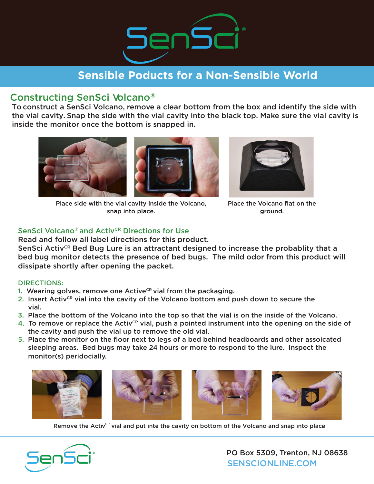

# **Sensible Poducts for a Non-Sensible World**

### Constructing SenSci Volcano®

To construct a SenSci Volcano, remove a clear bottom from the box and identify the side with the vial cavity. Snap the side with the vial cavity into the black top. Make sure the vial cavity is inside the monitor once the bottom is snapped in.





Place side with the vial cavity inside the Volcano, snap into place.



Place the Volcano flat on the ground.

### SenSci Volcano<sup>®</sup> and Activ<sup>CR</sup> Directions for Use

Read and follow all label directions for this product.

SenSci Activ<sup>CR</sup> Bed Bug Lure is an attractant designed to increase the probablity that a bed bug monitor detects the presence of bed bugs. The mild odor from this product will dissipate shortly after opening the packet.

#### DIRECTIONS:

- 1. Wearing golves, remove one Active<sup> $CR$ </sup> vial from the packaging.
- 2. Insert Activ<sup>CR</sup> vial into the cavity of the Volcano bottom and push down to secure the vial.
- 3. Place the bottom of the Volcano into the top so that the vial is on the inside of the Volcano.
- 4. To remove or replace the Activ<sup>CR</sup> vial, push a pointed instrument into the opening on the side of the cavity and push the vial up to remove the old vial.
- 5. Place the monitor on the floor next to legs of a bed behind headboards and other assoicated sleeping areas. Bed bugs may take 24 hours or more to respond to the lure. Inspect the monitor(s) peridocially.



Remove the Activ<sup>ce</sup> vial and put inte the cavity on bottom of the Volcano and snap into place



SENSCIONLINE.COM PO Box 5309, Trenton, NJ 08638